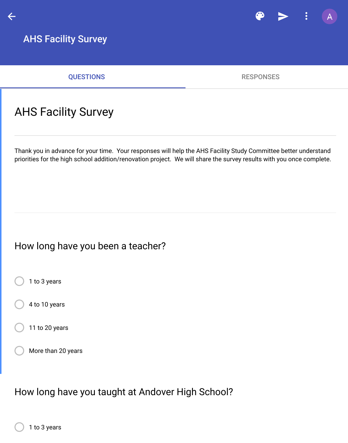# AHS Facility Survey

Thank you in advance for your time. Your responses will help the AHS Facility Study Committee bette priorities for the high school addition/renovation project. We will share the survey results with you on

#### How long have you been a teacher?

1 to 3 years

4 to 10 years

11 to 20 years

More than 20 years

How long have you taught at Andover High School?

1 to 3 years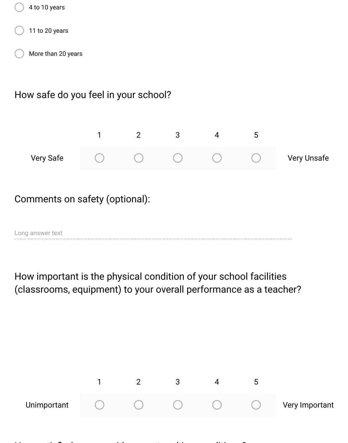

How important is the physical condition of your school facilities (classrooms, equipment) to your overall performance as a teacher?

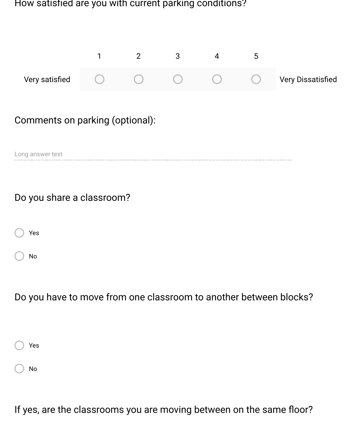How satisfied are you with current parking conditions?



| Do you have to move from one classroom to another between blocks? |  |
|-------------------------------------------------------------------|--|
|-------------------------------------------------------------------|--|

| Yes |  |
|-----|--|
| No  |  |

Yes

No

If yes, are the classrooms you are moving between on the same floor?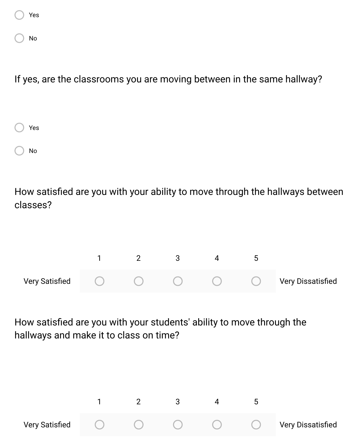| Yes |  |
|-----|--|
| No  |  |

If yes, are the classrooms you are moving between in the same hallway?

| Yes |  |
|-----|--|
| No  |  |

How satisfied are you with your ability to move through the hallways between classes?



How satisfied are you with your students' ability to move through the hallways and make it to class on time?

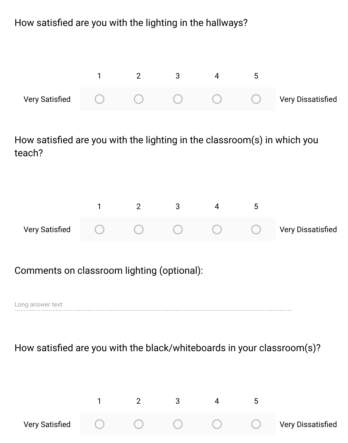How satisfied are you with the lighting in the hallways?



How satisfied are you with the lighting in the classroom(s) in which you teach?

| <b>Very Satisfied</b> | $\left( \begin{array}{cc} 1 & 1 \end{array} \right)$ |  | $\sqrt{2}$ | <b>Very Dissatisfied</b> |
|-----------------------|------------------------------------------------------|--|------------|--------------------------|

#### Comments on classroom lighting (optional):

Long answer text

#### How satisfied are you with the black/whiteboards in your classroom(s)?

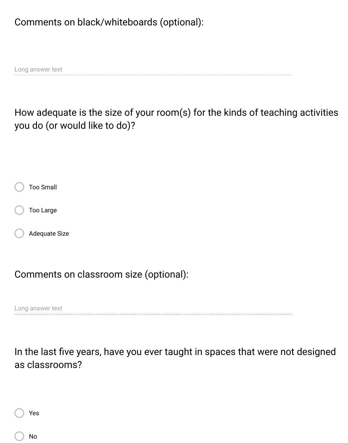### Comments on black/whiteboards (optional):

Long answer text

How adequate is the size of your room(s) for the kinds of teaching activities you do (or would like to do)?

| Too Small     |
|---------------|
| Too Large     |
| Adequate Size |

Comments on classroom size (optional):

Long answer text

In the last five years, have you ever taught in spaces that were not designed as classrooms?

| Yes |
|-----|
| No  |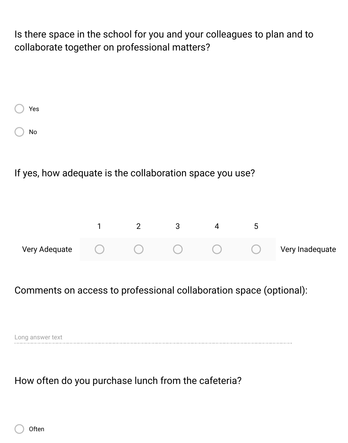Is there space in the school for you and your colleagues to plan and to collaborate together on professional matters?

| Yes |  |
|-----|--|
| No  |  |

If yes, how adequate is the collaboration space you use?



Comments on access to professional collaboration space (optional):

Long answer text

How often do you purchase lunch from the cafeteria?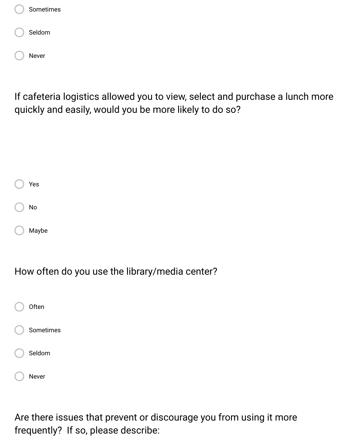

If cafeteria logistics allowed you to view, select and purchase a lunch more quickly and easily, would you be more likely to do so?

| Yes   |
|-------|
| No    |
| Maybe |

How often do you use the library/media center?

| Often     |
|-----------|
| Sometimes |
| Seldom    |
| Never     |

Are there issues that prevent or discourage you from using it more frequently? If so, please describe: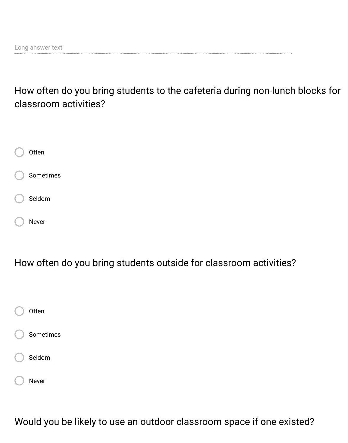How often do you bring students to the cafeteria during non-lunch blocks for classroom activities?



How often do you bring students outside for classroom activities?



Would you be likely to use an outdoor classroom space if one existed?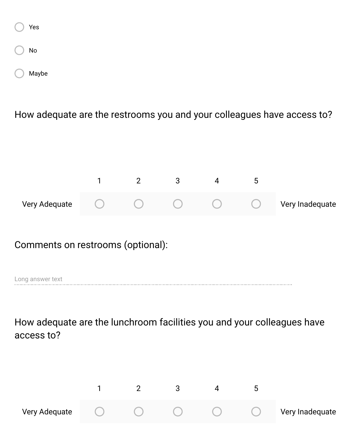| Yes   |
|-------|
| No    |
| Maybe |

How adequate are the restrooms you and your colleagues have access to?



### Comments on restrooms (optional):

Long answer text

How adequate are the lunchroom facilities you and your colleagues have access to?

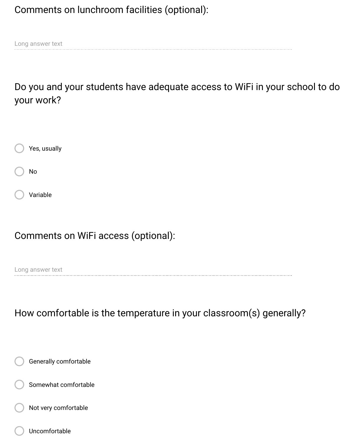Comments on lunchroom facilities (optional):

Long answer text

Do you and your students have adequate access to WiFi in your school to do your work?



### Comments on WiFi access (optional):

Long answer text

How comfortable is the temperature in your classroom(s) generally?

Generally comfortable

Somewhat comfortable

Not very comfortable

Uncomfortable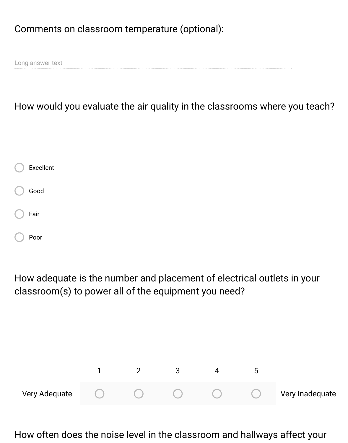### Comments on classroom temperature (optional):

Long answer text

How would you evaluate the air quality in the classrooms where you teach?

| Excellent |
|-----------|
| Good      |
| Fair      |
| Poor      |

How adequate is the number and placement of electrical outlets in your classroom(s) to power all of the equipment you need?



How often does the noise level in the classroom and hallways affect your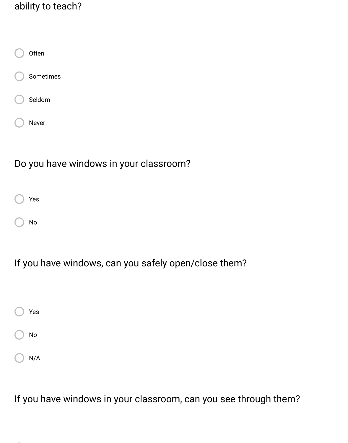### ability to teach?



## Do you have windows in your classroom?



No

### If you have windows, can you safely open/close them?

| Yes |  |
|-----|--|
| No  |  |
| N/A |  |

If you have windows in your classroom, can you see through them?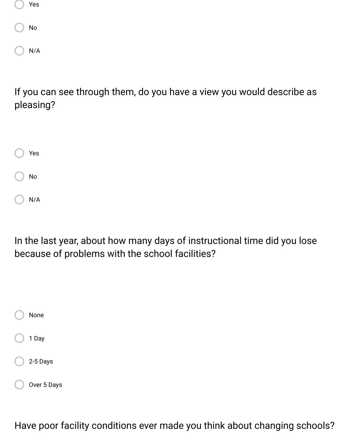| Yes |  |
|-----|--|
| No  |  |
| N/A |  |

If you can see through them, do you have a view you would describe as pleasing?

| Yes |
|-----|
| No  |
| N/A |

In the last year, about how many days of instructional time did you lose because of problems with the school facilities?

| None        |
|-------------|
| 1 Day       |
| 2-5 Days    |
| Over 5 Days |

Have poor facility conditions ever made you think about changing schools?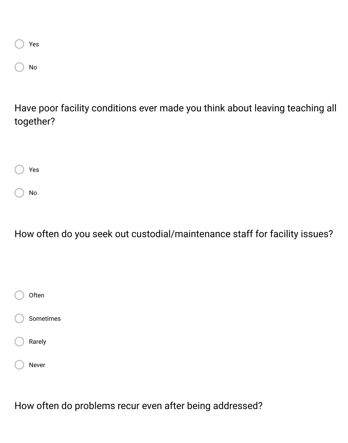| Yes |  |
|-----|--|
| No  |  |

Have poor facility conditions ever made you think about leaving teaching all together?

Yes No

How often do you seek out custodial/maintenance staff for facility issues?



How often do problems recur even after being addressed?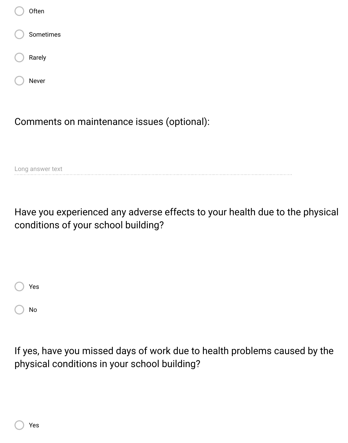| Often     |  |
|-----------|--|
| Sometimes |  |
| Rarely    |  |
| Never     |  |
|           |  |

Comments on maintenance issues (optional):

Long answer text

Have you experienced any adverse effects to your health due to the physical conditions of your school building?



If yes, have you missed days of work due to health problems caused by the physical conditions in your school building?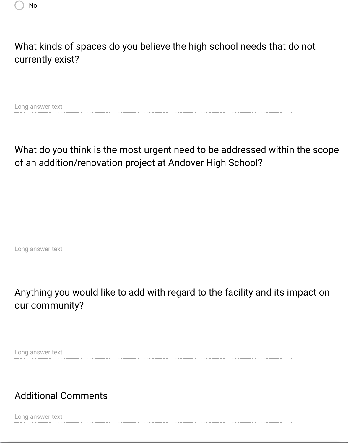

## What kinds of spaces do you believe the high school needs that do not currently exist?

Long answer text

# What do you think is the most urgent need to be addressed within the scope of an addition/renovation project at Andover High School?

Long answer text

## Anything you would like to add with regard to the facility and its impact on our community?

Long answer text

## Additional Comments

Long answer text